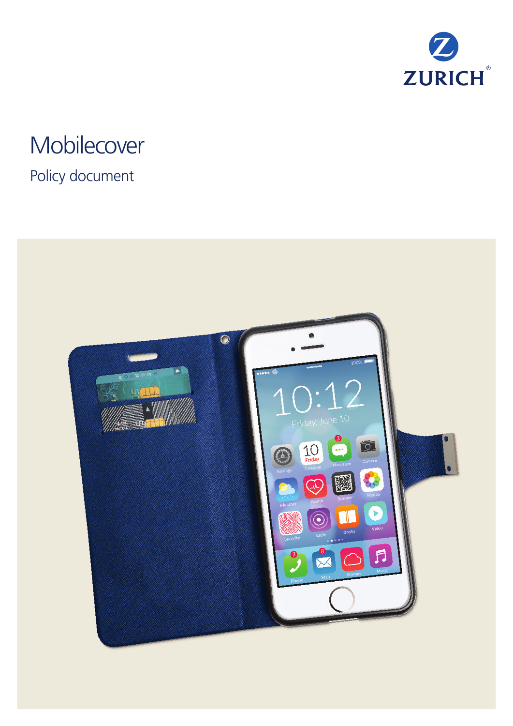

# **Mobilecover**

## Policy document

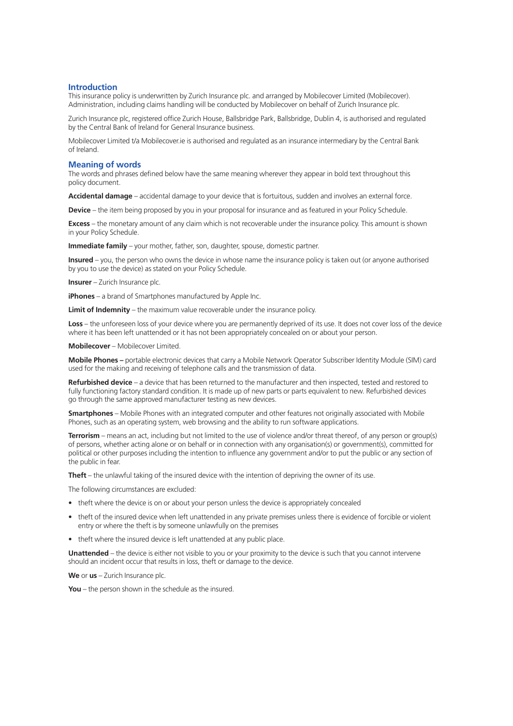### **Introduction**

This insurance policy is underwritten by Zurich Insurance plc. and arranged by Mobilecover Limited (Mobilecover). Administration, including claims handling will be conducted by Mobilecover on behalf of Zurich Insurance plc.

Zurich Insurance plc, registered office Zurich House, Ballsbridge Park, Ballsbridge, Dublin 4, is authorised and regulated by the Central Bank of Ireland for General Insurance business.

Mobilecover Limited t/a Mobilecover.ie is authorised and regulated as an insurance intermediary by the Central Bank of Ireland.

### **Meaning of words**

The words and phrases defined below have the same meaning wherever they appear in bold text throughout this policy document.

**Accidental damage** – accidental damage to your device that is fortuitous, sudden and involves an external force.

**Device** – the item being proposed by you in your proposal for insurance and as featured in your Policy Schedule.

**Excess** – the monetary amount of any claim which is not recoverable under the insurance policy. This amount is shown in your Policy Schedule.

**Immediate family** – your mother, father, son, daughter, spouse, domestic partner.

**Insured** – you, the person who owns the device in whose name the insurance policy is taken out (or anyone authorised by you to use the device) as stated on your Policy Schedule.

**Insurer** – Zurich Insurance plc.

**iPhones** – a brand of Smartphones manufactured by Apple Inc.

**Limit of Indemnity** – the maximum value recoverable under the insurance policy.

Loss – the unforeseen loss of your device where you are permanently deprived of its use. It does not cover loss of the device where it has been left unattended or it has not been appropriately concealed on or about your person.

**Mobilecover** – Mobilecover Limited.

**Mobile Phones –** portable electronic devices that carry a Mobile Network Operator Subscriber Identity Module (SIM) card used for the making and receiving of telephone calls and the transmission of data.

**Refurbished device** – a device that has been returned to the manufacturer and then inspected, tested and restored to fully functioning factory standard condition. It is made up of new parts or parts equivalent to new. Refurbished devices go through the same approved manufacturer testing as new devices.

**Smartphones** – Mobile Phones with an integrated computer and other features not originally associated with Mobile Phones, such as an operating system, web browsing and the ability to run software applications.

**Terrorism** – means an act, including but not limited to the use of violence and/or threat thereof, of any person or group(s) of persons, whether acting alone or on behalf or in connection with any organisation(s) or government(s), committed for political or other purposes including the intention to influence any government and/or to put the public or any section of the public in fear.

**Theft** – the unlawful taking of the insured device with the intention of depriving the owner of its use.

The following circumstances are excluded:

- theft where the device is on or about your person unless the device is appropriately concealed
- theft of the insured device when left unattended in any private premises unless there is evidence of forcible or violent entry or where the theft is by someone unlawfully on the premises
- theft where the insured device is left unattended at any public place.

**Unattended** – the device is either not visible to you or your proximity to the device is such that you cannot intervene should an incident occur that results in loss, theft or damage to the device.

**We** or **us** – Zurich Insurance plc.

**You** – the person shown in the schedule as the insured.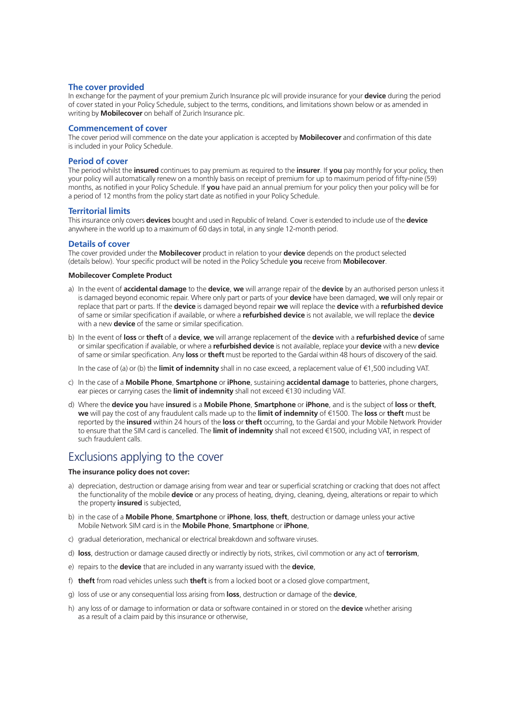### **The cover provided**

In exchange for the payment of your premium Zurich Insurance plc will provide insurance for your **device** during the period of cover stated in your Policy Schedule, subject to the terms, conditions, and limitations shown below or as amended in writing by **Mobilecover** on behalf of Zurich Insurance plc.

### **Commencement of cover**

The cover period will commence on the date your application is accepted by **Mobilecover** and confirmation of this date is included in your Policy Schedule.

### **Period of cover**

The period whilst the **insured** continues to pay premium as required to the **insurer**. If **you** pay monthly for your policy, then your policy will automatically renew on a monthly basis on receipt of premium for up to maximum period of fifty-nine (59) months, as notified in your Policy Schedule. If **you** have paid an annual premium for your policy then your policy will be for a period of 12 months from the policy start date as notified in your Policy Schedule.

### **Territorial limits**

This insurance only covers **devices** bought and used in Republic of Ireland. Cover is extended to include use of the **device** anywhere in the world up to a maximum of 60 days in total, in any single 12-month period.

### **Details of cover**

The cover provided under the **Mobilecover** product in relation to your **device** depends on the product selected (details below). Your specific product will be noted in the Policy Schedule **you** receive from **Mobilecover**.

### **Mobilecover Complete Product**

- a) In the event of **accidental damage** to the **device**, **we** will arrange repair of the **device** by an authorised person unless it is damaged beyond economic repair. Where only part or parts of your **device** have been damaged, **we** will only repair or replace that part or parts. If the **device** is damaged beyond repair **we** will replace the **device** with a **refurbished device** of same or similar specification if available, or where a **refurbished device** is not available, we will replace the **device** with a new **device** of the same or similar specification.
- b) In the event of **loss** or **theft** of a **device**, **we** will arrange replacement of the **device** with a **refurbished device** of same or similar specification if available, or where a **refurbished device** is not available, replace your **device** with a new **device** of same or similar specification. Any **loss** or **theft** must be reported to the Gardaí within 48 hours of discovery of the said.

In the case of (a) or (b) the **limit of indemnity** shall in no case exceed, a replacement value of €1,500 including VAT.

- c) In the case of a **Mobile Phone**, **Smartphone** or **iPhone**, sustaining **accidental damage** to batteries, phone chargers, ear pieces or carrying cases the **limit of indemnity** shall not exceed €130 including VAT.
- d) Where the **device you** have **insured** is a **Mobile Phone**, **Smartphone** or **iPhone**, and is the subject of **loss** or **theft**, **we** will pay the cost of any fraudulent calls made up to the **limit of indemnity** of €1500. The **loss** or **theft** must be reported by the **insured** within 24 hours of the **loss** or **theft** occurring, to the Gardaí and your Mobile Network Provider to ensure that the SIM card is cancelled. The **limit of indemnity** shall not exceed €1500, including VAT, in respect of such fraudulent calls.

### Exclusions applying to the cover

### **The insurance policy does not cover:**

- a) depreciation, destruction or damage arising from wear and tear or superficial scratching or cracking that does not affect the functionality of the mobile **device** or any process of heating, drying, cleaning, dyeing, alterations or repair to which the property **insured** is subjected,
- b) in the case of a **Mobile Phone**, **Smartphone** or **iPhone**, **loss**, **theft**, destruction or damage unless your active Mobile Network SIM card is in the **Mobile Phone**, **Smartphone** or **iPhone**,
- c) gradual deterioration, mechanical or electrical breakdown and software viruses.
- d) **loss**, destruction or damage caused directly or indirectly by riots, strikes, civil commotion or any act of **terrorism**,
- e) repairs to the **device** that are included in any warranty issued with the **device**,
- f) **theft** from road vehicles unless such **theft** is from a locked boot or a closed glove compartment,
- g) loss of use or any consequential loss arising from **loss**, destruction or damage of the **device**,
- h) any loss of or damage to information or data or software contained in or stored on the **device** whether arising as a result of a claim paid by this insurance or otherwise,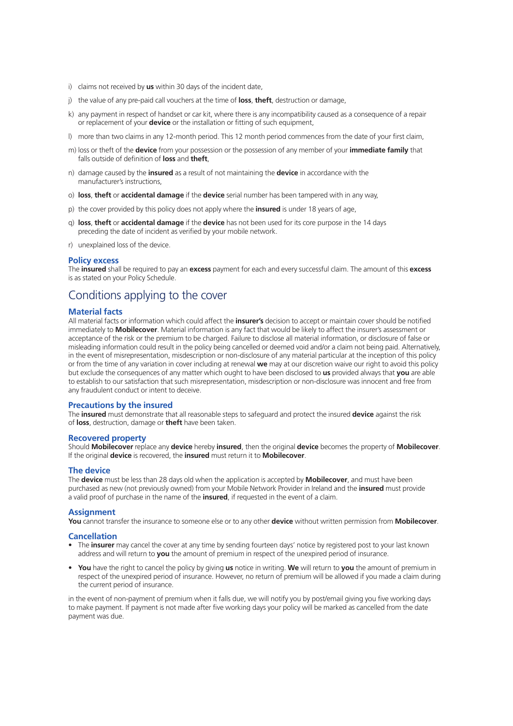- i) claims not received by **us** within 30 days of the incident date,
- j) the value of any pre-paid call vouchers at the time of **loss**, **theft**, destruction or damage,
- k) any payment in respect of handset or car kit, where there is any incompatibility caused as a consequence of a repair or replacement of your **device** or the installation or fitting of such equipment,
- l) more than two claims in any 12-month period. This 12 month period commences from the date of your first claim,
- m) loss or theft of the **device** from your possession or the possession of any member of your **immediate family** that falls outside of definition of **loss** and **theft**,
- n) damage caused by the **insured** as a result of not maintaining the **device** in accordance with the manufacturer's instructions,
- o) **loss**, **theft** or **accidental damage** if the **device** serial number has been tampered with in any way,
- p) the cover provided by this policy does not apply where the **insured** is under 18 years of age,
- q) **loss**, **theft** or **accidental damage** if the **device** has not been used for its core purpose in the 14 days preceding the date of incident as verified by your mobile network.
- r) unexplained loss of the device.

### **Policy excess**

The **insured** shall be required to pay an **excess** payment for each and every successful claim. The amount of this **excess** is as stated on your Policy Schedule.

### Conditions applying to the cover

### **Material facts**

All material facts or information which could affect the **insurer's** decision to accept or maintain cover should be notified immediately to **Mobilecover**. Material information is any fact that would be likely to affect the insurer's assessment or acceptance of the risk or the premium to be charged. Failure to disclose all material information, or disclosure of false or misleading information could result in the policy being cancelled or deemed void and/or a claim not being paid. Alternatively, in the event of misrepresentation, misdescription or non-disclosure of any material particular at the inception of this policy or from the time of any variation in cover including at renewal **we** may at our discretion waive our right to avoid this policy but exclude the consequences of any matter which ought to have been disclosed to **us** provided always that **you** are able to establish to our satisfaction that such misrepresentation, misdescription or non-disclosure was innocent and free from any fraudulent conduct or intent to deceive.

### **Precautions by the insured**

The **insured** must demonstrate that all reasonable steps to safeguard and protect the insured **device** against the risk of **loss**, destruction, damage or **theft** have been taken.

### **Recovered property**

Should **Mobilecover** replace any **device** hereby **insured**, then the original **device** becomes the property of **Mobilecover**. If the original **device** is recovered, the **insured** must return it to **Mobilecover**.

#### **The device**

The **device** must be less than 28 days old when the application is accepted by **Mobilecover**, and must have been purchased as new (not previously owned) from your Mobile Network Provider in Ireland and the **insured** must provide a valid proof of purchase in the name of the **insured**, if requested in the event of a claim.

### **Assignment**

**You** cannot transfer the insurance to someone else or to any other **device** without written permission from **Mobilecover**.

#### **Cancellation**

- The **insurer** may cancel the cover at any time by sending fourteen days' notice by registered post to your last known address and will return to **you** the amount of premium in respect of the unexpired period of insurance.
- **You** have the right to cancel the policy by giving **us** notice in writing. **We** will return to **you** the amount of premium in respect of the unexpired period of insurance. However, no return of premium will be allowed if you made a claim during the current period of insurance.

in the event of non-payment of premium when it falls due, we will notify you by post/email giving you five working days to make payment. If payment is not made after five working days your policy will be marked as cancelled from the date payment was due.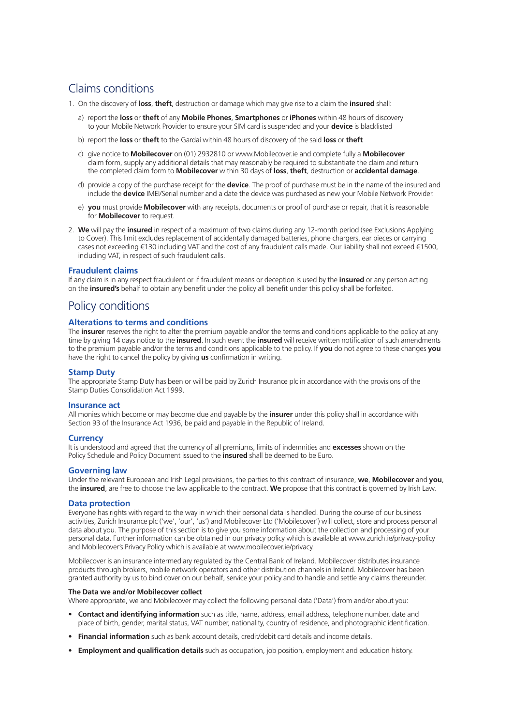### Claims conditions

- 1. On the discovery of **loss**, **theft**, destruction or damage which may give rise to a claim the **insured** shall:
	- a) report the **loss** or **theft** of any **Mobile Phones**, **Smartphones** or **iPhones** within 48 hours of discovery to your Mobile Network Provider to ensure your SIM card is suspended and your **device** is blacklisted
	- b) report the **loss** or **theft** to the Gardaí within 48 hours of discovery of the said **loss** or **theft**
	- c) give notice to **Mobilecover** on (01) 2932810 or www.Mobilecover.ie and complete fully a **Mobilecover** claim form, supply any additional details that may reasonably be required to substantiate the claim and return the completed claim form to **Mobilecover** within 30 days of **loss**, **theft**, destruction or **accidental damage**.
	- d) provide a copy of the purchase receipt for the **device**. The proof of purchase must be in the name of the insured and include the **device** IMEI/Serial number and a date the device was purchased as new your Mobile Network Provider.
	- e) **you** must provide **Mobilecover** with any receipts, documents or proof of purchase or repair, that it is reasonable for **Mobilecover** to request.
- 2. **We** will pay the **insured** in respect of a maximum of two claims during any 12-month period (see Exclusions Applying to Cover). This limit excludes replacement of accidentally damaged batteries, phone chargers, ear pieces or carrying cases not exceeding €130 including VAT and the cost of any fraudulent calls made. Our liability shall not exceed €1500, including VAT, in respect of such fraudulent calls.

### **Fraudulent claims**

If any claim is in any respect fraudulent or if fraudulent means or deception is used by the **insured** or any person acting on the **insured's** behalf to obtain any benefit under the policy all benefit under this policy shall be forfeited.

### Policy conditions

### **Alterations to terms and conditions**

The **insurer** reserves the right to alter the premium payable and/or the terms and conditions applicable to the policy at any time by giving 14 days notice to the **insured**. In such event the **insured** will receive written notification of such amendments to the premium payable and/or the terms and conditions applicable to the policy. If **you** do not agree to these changes **you** have the right to cancel the policy by giving **us** confirmation in writing.

### **Stamp Duty**

The appropriate Stamp Duty has been or will be paid by Zurich Insurance plc in accordance with the provisions of the Stamp Duties Consolidation Act 1999.

### **Insurance act**

All monies which become or may become due and payable by the **insurer** under this policy shall in accordance with Section 93 of the Insurance Act 1936, be paid and payable in the Republic of Ireland.

### **Currency**

It is understood and agreed that the currency of all premiums, limits of indemnities and **excesses** shown on the Policy Schedule and Policy Document issued to the **insured** shall be deemed to be Euro.

### **Governing law**

Under the relevant European and Irish Legal provisions, the parties to this contract of insurance, **we**, **Mobilecover** and **you**, the **insured**, are free to choose the law applicable to the contract. **We** propose that this contract is governed by Irish Law.

### **Data protection**

Everyone has rights with regard to the way in which their personal data is handled. During the course of our business activities, Zurich Insurance plc ('we', 'our', 'us') and Mobilecover Ltd ('Mobilecover') will collect, store and process personal data about you. The purpose of this section is to give you some information about the collection and processing of your personal data. Further information can be obtained in our privacy policy which is available at www.zurich.ie/privacy-policy and Mobilecover's Privacy Policy which is available at www.mobilecover.ie/privacy.

Mobilecover is an insurance intermediary regulated by the Central Bank of Ireland. Mobilecover distributes insurance products through brokers, mobile network operators and other distribution channels in Ireland. Mobilecover has been granted authority by us to bind cover on our behalf, service your policy and to handle and settle any claims thereunder.

#### **The Data we and/or Mobilecover collect**

Where appropriate, we and Mobilecover may collect the following personal data ('Data') from and/or about you:

- **Contact and identifying information** such as title, name, address, email address, telephone number, date and place of birth, gender, marital status, VAT number, nationality, country of residence, and photographic identification.
- **Financial information** such as bank account details, credit/debit card details and income details.
- **Employment and qualification details** such as occupation, job position, employment and education history.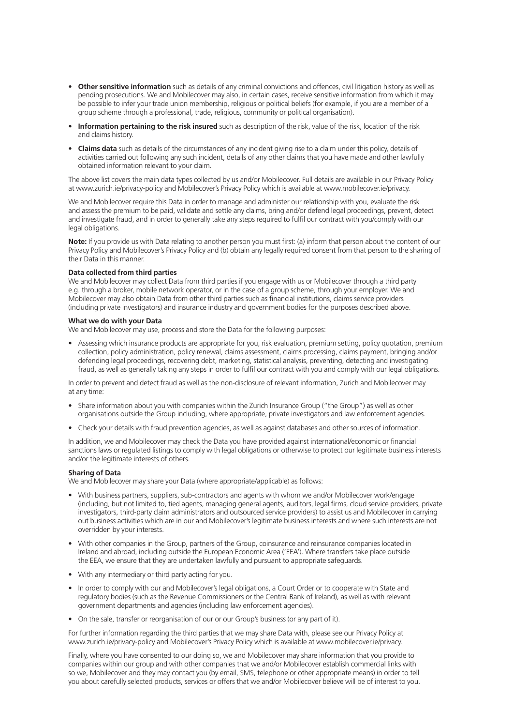- **Other sensitive information** such as details of any criminal convictions and offences, civil litigation history as well as pending prosecutions. We and Mobilecover may also, in certain cases, receive sensitive information from which it may be possible to infer your trade union membership, religious or political beliefs (for example, if you are a member of a group scheme through a professional, trade, religious, community or political organisation).
- **Information pertaining to the risk insured** such as description of the risk, value of the risk, location of the risk and claims history.
- **Claims data** such as details of the circumstances of any incident giving rise to a claim under this policy, details of activities carried out following any such incident, details of any other claims that you have made and other lawfully obtained information relevant to your claim.

The above list covers the main data types collected by us and/or Mobilecover. Full details are available in our Privacy Policy at www.zurich.ie/privacy-policy and Mobilecover's Privacy Policy which is available at www.mobilecover.ie/privacy.

We and Mobilecover require this Data in order to manage and administer our relationship with you, evaluate the risk and assess the premium to be paid, validate and settle any claims, bring and/or defend legal proceedings, prevent, detect and investigate fraud, and in order to generally take any steps required to fulfil our contract with you/comply with our legal obligations.

**Note:** If you provide us with Data relating to another person you must first: (a) inform that person about the content of our Privacy Policy and Mobilecover's Privacy Policy and (b) obtain any legally required consent from that person to the sharing of their Data in this manner.

### **Data collected from third parties**

We and Mobilecover may collect Data from third parties if you engage with us or Mobilecover through a third party e.g. through a broker, mobile network operator, or in the case of a group scheme, through your employer. We and Mobilecover may also obtain Data from other third parties such as financial institutions, claims service providers (including private investigators) and insurance industry and government bodies for the purposes described above.

#### **What we do with your Data**

We and Mobilecover may use, process and store the Data for the following purposes:

• Assessing which insurance products are appropriate for you, risk evaluation, premium setting, policy quotation, premium collection, policy administration, policy renewal, claims assessment, claims processing, claims payment, bringing and/or defending legal proceedings, recovering debt, marketing, statistical analysis, preventing, detecting and investigating fraud, as well as generally taking any steps in order to fulfil our contract with you and comply with our legal obligations.

In order to prevent and detect fraud as well as the non-disclosure of relevant information, Zurich and Mobilecover may at any time:

- Share information about you with companies within the Zurich Insurance Group ("the Group") as well as other organisations outside the Group including, where appropriate, private investigators and law enforcement agencies.
- Check your details with fraud prevention agencies, as well as against databases and other sources of information.

In addition, we and Mobilecover may check the Data you have provided against international/economic or financial sanctions laws or regulated listings to comply with legal obligations or otherwise to protect our legitimate business interests and/or the legitimate interests of others.

### **Sharing of Data**

We and Mobilecover may share your Data (where appropriate/applicable) as follows:

- With business partners, suppliers, sub-contractors and agents with whom we and/or Mobilecover work/engage (including, but not limited to, tied agents, managing general agents, auditors, legal firms, cloud service providers, private investigators, third-party claim administrators and outsourced service providers) to assist us and Mobilecover in carrying out business activities which are in our and Mobilecover's legitimate business interests and where such interests are not overridden by your interests.
- With other companies in the Group, partners of the Group, coinsurance and reinsurance companies located in Ireland and abroad, including outside the European Economic Area ('EEA'). Where transfers take place outside the EEA, we ensure that they are undertaken lawfully and pursuant to appropriate safeguards.
- With any intermediary or third party acting for you.
- In order to comply with our and Mobilecover's legal obligations, a Court Order or to cooperate with State and regulatory bodies (such as the Revenue Commissioners or the Central Bank of Ireland), as well as with relevant government departments and agencies (including law enforcement agencies).
- On the sale, transfer or reorganisation of our or our Group's business (or any part of it).

For further information regarding the third parties that we may share Data with, please see our Privacy Policy at www.zurich.ie/privacy-policy and Mobilecover's Privacy Policy which is available at www.mobilecover.ie/privacy.

Finally, where you have consented to our doing so, we and Mobilecover may share information that you provide to companies within our group and with other companies that we and/or Mobilecover establish commercial links with so we, Mobilecover and they may contact you (by email, SMS, telephone or other appropriate means) in order to tell you about carefully selected products, services or offers that we and/or Mobilecover believe will be of interest to you.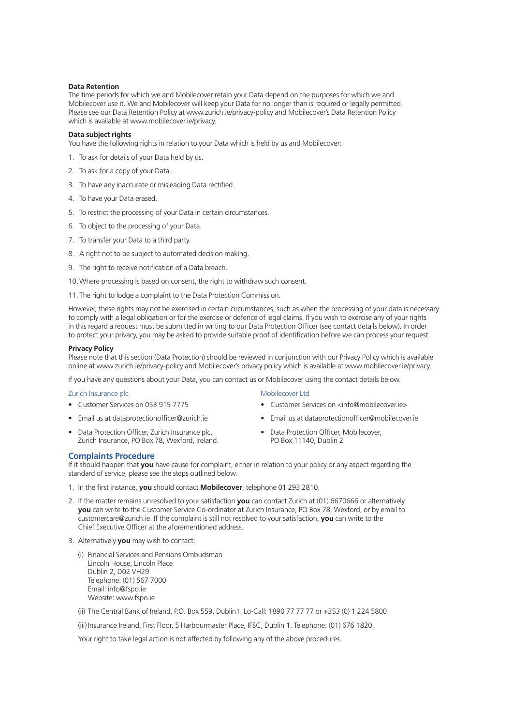### **Data Retention**

The time periods for which we and Mobilecover retain your Data depend on the purposes for which we and Mobilecover use it. We and Mobilecover will keep your Data for no longer than is required or legally permitted. Please see our Data Retention Policy at www.zurich.ie/privacy-policy and Mobilecover's Data Retention Policy which is available at www.mobilecover.ie/privacy.

### **Data subject rights**

You have the following rights in relation to your Data which is held by us and Mobilecover:

- 1. To ask for details of your Data held by us.
- 2. To ask for a copy of your Data.
- 3. To have any inaccurate or misleading Data rectified.
- 4. To have your Data erased.
- 5. To restrict the processing of your Data in certain circumstances.
- 6. To object to the processing of your Data.
- 7. To transfer your Data to a third party.
- 8. A right not to be subject to automated decision making.
- 9. The right to receive notification of a Data breach.
- 10.Where processing is based on consent, the right to withdraw such consent.
- 11. The right to lodge a complaint to the Data Protection Commission.

However, these rights may not be exercised in certain circumstances, such as when the processing of your data is necessary to comply with a legal obligation or for the exercise or defence of legal claims. If you wish to exercise any of your rights in this regard a request must be submitted in writing to our Data Protection Officer (see contact details below). In order to protect your privacy, you may be asked to provide suitable proof of identification before we can process your request.

### **Privacy Policy**

Please note that this section (Data Protection) should be reviewed in conjunction with our Privacy Policy which is available online at www.zurich.ie/privacy-policy and Mobilecover's privacy policy which is available at www.mobilecover.ie/privacy.

If you have any questions about your Data, you can contact us or Mobilecover using the contact details below.

### Zurich Insurance plc

- Customer Services on 053 915 7775
- Email us at dataprotectionofficer@zurich.ie
- Data Protection Officer, Zurich Insurance plc, Zurich Insurance, PO Box 78, Wexford, Ireland.
- Mobilecover Ltd
- Customer Services on <info@mobilecover.ie>
- Email us at dataprotectionofficer@mobilecover.ie
- Data Protection Officer, Mobilecover, PO Box 11140, Dublin 2

### **Complaints Procedure**

If it should happen that **you** have cause for complaint, either in relation to your policy or any aspect regarding the standard of service, please see the steps outlined below.

- 1. In the first instance, **you** should contact **Mobilecover**, telephone 01 293 2810.
- 2. If the matter remains unresolved to your satisfaction **you** can contact Zurich at (01) 6670666 or alternatively **you** can write to the Customer Service Co-ordinator at Zurich Insurance, PO Box 78, Wexford, or by email to customercare@zurich.ie. If the complaint is still not resolved to your satisfaction, **you** can write to the Chief Executive Officer at the aforementioned address.
- 3. Alternatively **you** may wish to contact:
	- (i) Financial Services and Pensions Ombudsman Lincoln House, Lincoln Place Dublin 2, D02 VH29 Telephone: (01) 567 7000 Email: info@fspo.ie Website: www.fspo.ie
	- (ii) The Central Bank of Ireland, P.O. Box 559, Dublin1. Lo-Call: 1890 77 77 77 or +353 (0) 1 224 5800.

(iii) Insurance Ireland, First Floor, 5 Harbourmaster Place, IFSC, Dublin 1. Telephone: (01) 676 1820.

Your right to take legal action is not affected by following any of the above procedures.